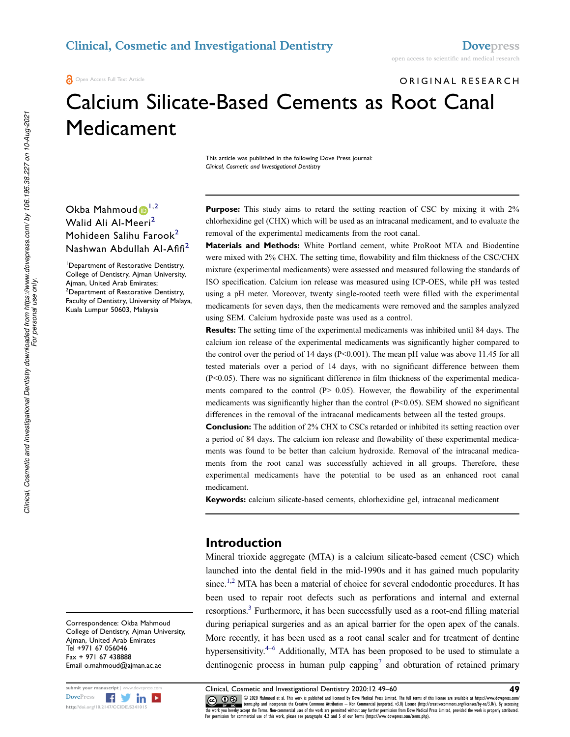### Clinical, Cosmetic and Investigational Dentistry Dovepress

Open Access Full Text Article

ORIGINAL RESEARCH

# Calcium Silicate-Based Cements as Root Canal Medicament

This article was published in the following Dove Press journal: Clinical, Cosmetic and Investigational Dentistry

Okba Mahmoud  $1^{1,2}$ Walid Ali Al-Meeri<sup>2</sup> Mohideen Salihu Farook<sup>2</sup> Nashwan Abdullah Al-Afifi<sup>2</sup>

<sup>1</sup>Department of Restorative Dentistry, College of Dentistry, Ajman University, Ajman, United Arab Emirates; <sup>2</sup>Department of Restorative Dentistry, Faculty of Dentistry, University of Malaya, Kuala Lumpur 50603, Malaysia

Purpose: This study aims to retard the setting reaction of CSC by mixing it with 2% chlorhexidine gel (CHX) which will be used as an intracanal medicament, and to evaluate the removal of the experimental medicaments from the root canal.

Materials and Methods: White Portland cement, white ProRoot MTA and Biodentine were mixed with 2% CHX. The setting time, flowability and film thickness of the CSC/CHX mixture (experimental medicaments) were assessed and measured following the standards of ISO specification. Calcium ion release was measured using ICP-OES, while pH was tested using a pH meter. Moreover, twenty single-rooted teeth were filled with the experimental medicaments for seven days, then the medicaments were removed and the samples analyzed using SEM. Calcium hydroxide paste was used as a control.

Results: The setting time of the experimental medicaments was inhibited until 84 days. The calcium ion release of the experimental medicaments was significantly higher compared to the control over the period of 14 days (P<0.001). The mean pH value was above 11.45 for all tested materials over a period of 14 days, with no significant difference between them (P<0.05). There was no significant difference in film thickness of the experimental medicaments compared to the control  $(P > 0.05)$ . However, the flowability of the experimental medicaments was significantly higher than the control (P<0.05). SEM showed no significant differences in the removal of the intracanal medicaments between all the tested groups.

**Conclusion:** The addition of 2% CHX to CSCs retarded or inhibited its setting reaction over a period of 84 days. The calcium ion release and flowability of these experimental medicaments was found to be better than calcium hydroxide. Removal of the intracanal medicaments from the root canal was successfully achieved in all groups. Therefore, these experimental medicaments have the potential to be used as an enhanced root canal medicament.

Keywords: calcium silicate-based cements, chlorhexidine gel, intracanal medicament

### Introduction

Mineral trioxide aggregate (MTA) is a calcium silicate-based cement (CSC) which launched into the dental field in the mid-1990s and it has gained much popularity since.<sup>1,2</sup> MTA has been a material of choice for several endodontic procedures. It has been used to repair root defects such as perforations and internal and external resorptions.<sup>3</sup> Furthermore, it has been successfully used as a root-end filling material during periapical surgeries and as an apical barrier for the open apex of the canals. More recently, it has been used as a root canal sealer and for treatment of dentine hypersensitivity.<sup>4–6</sup> Additionally, MTA has been proposed to be used to stimulate a dentinogenic process in human pulp capping<sup>7</sup> and obturation of retained primary

Correspondence: Okba Mahmoud College of Dentistry, Ajman University, Ajman, United Arab Emirates Tel +971 67 056046 Fax + 971 67 438888 Email o.mahmoud@ajman.ac.ae



submit your manuscript | www.dovepress.com Clinical, Cosmetic and Investigational Dentistry 2020:12 49–60 49<br>DovePress **Figure 1998** 6 2020 Mahmoud et al. This work is published and licensed by Dove Medical Press Limited. DovePress © 2020 Mahmoud et al. This work is published and licensed by Dove Medical Press Limited. The full terms of this license are available at https://www.dovepress.com/ EV RECOVER 1 (PER SPACE) and incorporate the Creative Commons Attribution - Non Commercial (unported, v3.0) License (http://creativecommons.org/licenses/by-nc/3.0/). By accessing<br>the work you hereby accept the Terms. Non-c For permission for commercial use of this work, please see paragraphs 4.2 and 5 of our Terms (https://www.dovepress.com/terms.php).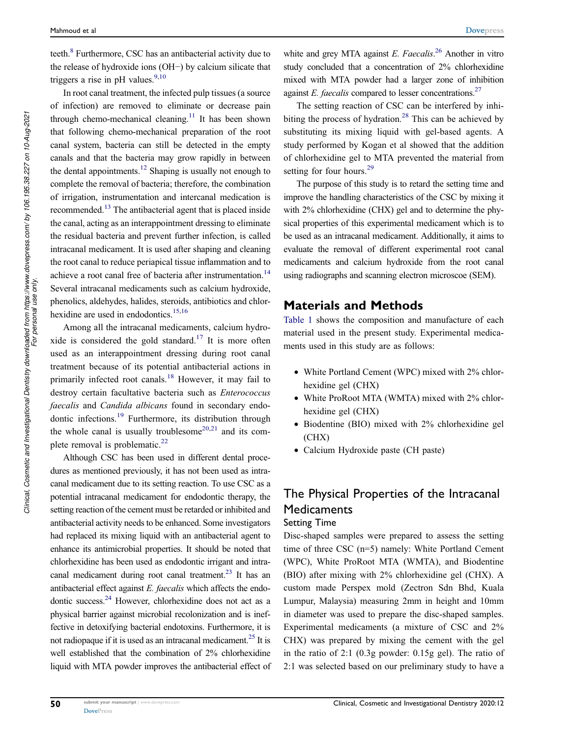teeth.<sup>8</sup> Furthermore, CSC has an antibacterial activity due to the release of hydroxide ions (OH−) by calcium silicate that triggers a rise in pH values.<sup>9,10</sup>

In root canal treatment, the infected pulp tissues (a source of infection) are removed to eliminate or decrease pain through chemo-mechanical cleaning.<sup>11</sup> It has been shown that following chemo-mechanical preparation of the root canal system, bacteria can still be detected in the empty canals and that the bacteria may grow rapidly in between the dental appointments.<sup>12</sup> Shaping is usually not enough to complete the removal of bacteria; therefore, the combination of irrigation, instrumentation and intercanal medication is recommended.<sup>13</sup> The antibacterial agent that is placed inside the canal, acting as an interappointment dressing to eliminate the residual bacteria and prevent further infection, is called intracanal medicament. It is used after shaping and cleaning the root canal to reduce periapical tissue inflammation and to achieve a root canal free of bacteria after instrumentation.<sup>14</sup> Several intracanal medicaments such as calcium hydroxide, phenolics, aldehydes, halides, steroids, antibiotics and chlorhexidine are used in endodontics.<sup>15,16</sup>

Among all the intracanal medicaments, calcium hydroxide is considered the gold standard.<sup>17</sup> It is more often used as an interappointment dressing during root canal treatment because of its potential antibacterial actions in primarily infected root canals.<sup>18</sup> However, it may fail to destroy certain facultative bacteria such as *Enterococcus faecalis* and *Candida albicans* found in secondary endodontic infections.<sup>19</sup> Furthermore, its distribution through the whole canal is usually troublesome $20,21$  and its complete removal is problematic. $^{22}$ 

Although CSC has been used in different dental procedures as mentioned previously, it has not been used as intracanal medicament due to its setting reaction. To use CSC as a potential intracanal medicament for endodontic therapy, the setting reaction of the cement must be retarded or inhibited and antibacterial activity needs to be enhanced. Some investigators had replaced its mixing liquid with an antibacterial agent to enhance its antimicrobial properties. It should be noted that chlorhexidine has been used as endodontic irrigant and intracanal medicament during root canal treatment.<sup>23</sup> It has an antibacterial effect against *E. faecalis* which affects the endodontic success.<sup>24</sup> However, chlorhexidine does not act as a physical barrier against microbial recolonization and is ineffective in detoxifying bacterial endotoxins. Furthermore, it is not radiopaque if it is used as an intracanal medicament.<sup>25</sup> It is well established that the combination of 2% chlorhexidine liquid with MTA powder improves the antibacterial effect of

white and grey MTA against *E. Faecalis*. <sup>26</sup> Another in vitro study concluded that a concentration of 2% chlorhexidine mixed with MTA powder had a larger zone of inhibition against *E. faecalis* compared to lesser concentrations.<sup>27</sup>

The setting reaction of CSC can be interfered by inhibiting the process of hydration.<sup>28</sup> This can be achieved by substituting its mixing liquid with gel-based agents. A study performed by Kogan et al showed that the addition of chlorhexidine gel to MTA prevented the material from setting for four hours.<sup>29</sup>

The purpose of this study is to retard the setting time and improve the handling characteristics of the CSC by mixing it with 2% chlorhexidine (CHX) gel and to determine the physical properties of this experimental medicament which is to be used as an intracanal medicament. Additionally, it aims to evaluate the removal of different experimental root canal medicaments and calcium hydroxide from the root canal using radiographs and scanning electron microscoe (SEM).

### Materials and Methods

Table 1 shows the composition and manufacture of each material used in the present study. Experimental medicaments used in this study are as follows:

- White Portland Cement (WPC) mixed with 2% chlorhexidine gel (CHX)
- White ProRoot MTA (WMTA) mixed with 2% chlorhexidine gel (CHX)
- Biodentine (BIO) mixed with 2% chlorhexidine gel (CHX)
- Calcium Hydroxide paste (CH paste)

## The Physical Properties of the Intracanal **Medicaments**

#### Setting Time

Disc-shaped samples were prepared to assess the setting time of three CSC (n=5) namely: White Portland Cement (WPC), White ProRoot MTA (WMTA), and Biodentine (BIO) after mixing with 2% chlorhexidine gel (CHX). A custom made Perspex mold (Zectron Sdn Bhd, Kuala Lumpur, Malaysia) measuring 2mm in height and 10mm in diameter was used to prepare the disc-shaped samples. Experimental medicaments (a mixture of CSC and 2% CHX) was prepared by mixing the cement with the gel in the ratio of 2:1 (0.3g powder: 0.15g gel). The ratio of 2:1 was selected based on our preliminary study to have a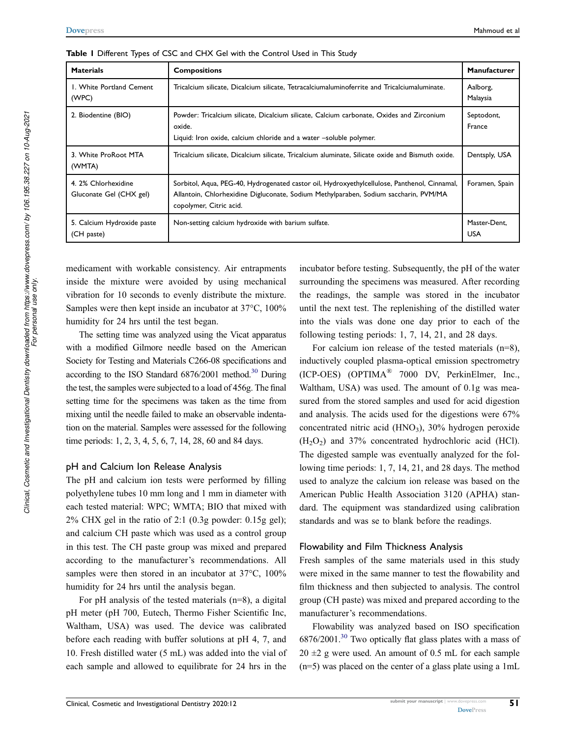| <b>Materials</b>                               | <b>Compositions</b>                                                                                                                                                                                             | Manufacturer               |
|------------------------------------------------|-----------------------------------------------------------------------------------------------------------------------------------------------------------------------------------------------------------------|----------------------------|
| I. White Portland Cement<br>(WPC)              | Tricalcium silicate, Dicalcium silicate, Tetracalciumaluminoferrite and Tricalciumaluminate.                                                                                                                    | Aalborg,<br>Malaysia       |
| 2. Biodentine (BIO)                            | Powder: Tricalcium silicate, Dicalcium silicate, Calcium carbonate, Oxides and Zirconium<br>oxide.<br>Liquid: Iron oxide, calcium chloride and a water -soluble polymer.                                        | Septodont,<br>France       |
| 3. White ProRoot MTA<br>(WMTA)                 | Tricalcium silicate, Dicalcium silicate, Tricalcium aluminate, Silicate oxide and Bismuth oxide.                                                                                                                | Dentsply, USA              |
| 4. 2% Chlorhexidine<br>Gluconate Gel (CHX gel) | Sorbitol, Aqua, PEG-40, Hydrogenated castor oil, Hydroxyethylcellulose, Panthenol, Cinnamal,<br>Allantoin, Chlorhexidine Digluconate, Sodium Methylparaben, Sodium saccharin, PVM/MA<br>copolymer, Citric acid. | Foramen, Spain             |
| 5. Calcium Hydroxide paste<br>(CH paste)       | Non-setting calcium hydroxide with barium sulfate.                                                                                                                                                              | Master-Dent,<br><b>USA</b> |

Table I Different Types of CSC and CHX Gel with the Control Used in This Study

medicament with workable consistency. Air entrapments inside the mixture were avoided by using mechanical vibration for 10 seconds to evenly distribute the mixture. Samples were then kept inside an incubator at 37°C, 100% humidity for 24 hrs until the test began.

The setting time was analyzed using the Vicat apparatus with a modified Gilmore needle based on the American Society for Testing and Materials C266-08 specifications and according to the ISO Standard  $6876/2001$  method.<sup>30</sup> During the test, the samples were subjected to a load of 456g. The final setting time for the specimens was taken as the time from mixing until the needle failed to make an observable indentation on the material. Samples were assessed for the following time periods: 1, 2, 3, 4, 5, 6, 7, 14, 28, 60 and 84 days.

#### pH and Calcium Ion Release Analysis

The pH and calcium ion tests were performed by filling polyethylene tubes 10 mm long and 1 mm in diameter with each tested material: WPC; WMTA; BIO that mixed with  $2\%$  CHX gel in the ratio of 2:1 (0.3g powder: 0.15g gel); and calcium CH paste which was used as a control group in this test. The CH paste group was mixed and prepared according to the manufacturer's recommendations. All samples were then stored in an incubator at  $37^{\circ}$ C,  $100\%$ humidity for 24 hrs until the analysis began.

For pH analysis of the tested materials (n=8), a digital pH meter (pH 700, Eutech, Thermo Fisher Scientific Inc, Waltham, USA) was used. The device was calibrated before each reading with buffer solutions at pH 4, 7, and 10. Fresh distilled water (5 mL) was added into the vial of each sample and allowed to equilibrate for 24 hrs in the

incubator before testing. Subsequently, the pH of the water surrounding the specimens was measured. After recording the readings, the sample was stored in the incubator until the next test. The replenishing of the distilled water into the vials was done one day prior to each of the following testing periods: 1, 7, 14, 21, and 28 days.

For calcium ion release of the tested materials (n=8), inductively coupled plasma-optical emission spectrometry (ICP-OES) (OPTIMA® 7000 DV, PerkinElmer, Inc., Waltham, USA) was used. The amount of 0.1g was measured from the stored samples and used for acid digestion and analysis. The acids used for the digestions were 67% concentrated nitric acid  $(HNO<sub>3</sub>)$ , 30% hydrogen peroxide  $(H<sub>2</sub>O<sub>2</sub>)$  and 37% concentrated hydrochloric acid (HCl). The digested sample was eventually analyzed for the following time periods: 1, 7, 14, 21, and 28 days. The method used to analyze the calcium ion release was based on the American Public Health Association 3120 (APHA) standard. The equipment was standardized using calibration standards and was se to blank before the readings.

#### Flowability and Film Thickness Analysis

Fresh samples of the same materials used in this study were mixed in the same manner to test the flowability and film thickness and then subjected to analysis. The control group (CH paste) was mixed and prepared according to the manufacturer's recommendations.

Flowability was analyzed based on ISO specification 6876/2001.<sup>30</sup> Two optically flat glass plates with a mass of  $20 \pm 2$  g were used. An amount of 0.5 mL for each sample (n=5) was placed on the center of a glass plate using a 1mL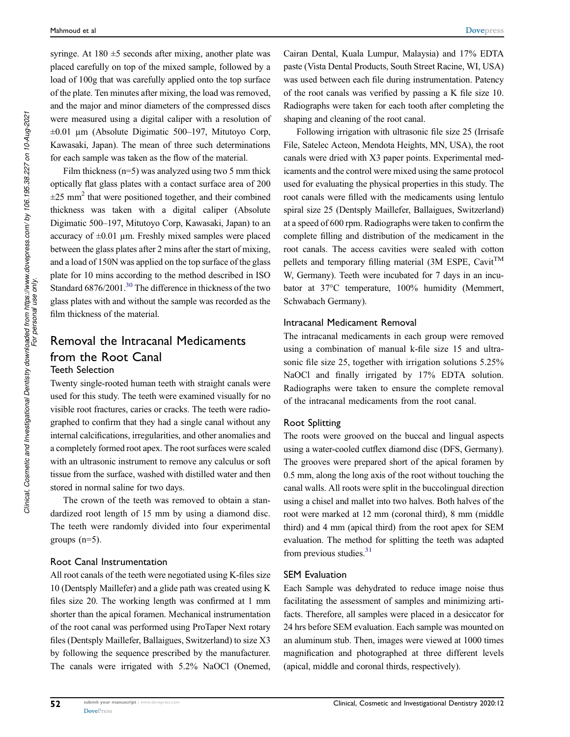syringe. At  $180 \pm 5$  seconds after mixing, another plate was placed carefully on top of the mixed sample, followed by a load of 100g that was carefully applied onto the top surface of the plate. Ten minutes after mixing, the load was removed, and the major and minor diameters of the compressed discs were measured using a digital caliper with a resolution of  $\pm 0.01$  µm (Absolute Digimatic 500–197, Mitutoyo Corp, Kawasaki, Japan). The mean of three such determinations for each sample was taken as the flow of the material.

Film thickness  $(n=5)$  was analyzed using two 5 mm thick optically flat glass plates with a contact surface area of 200  $\pm 25$  mm<sup>2</sup> that were positioned together, and their combined thickness was taken with a digital caliper (Absolute Digimatic 500–197, Mitutoyo Corp, Kawasaki, Japan) to an accuracy of  $\pm 0.01$  µm. Freshly mixed samples were placed between the glass plates after 2 mins after the start of mixing, and a load of 150N was applied on the top surface of the glass plate for 10 mins according to the method described in ISO Standard 6876/2001.<sup>30</sup> The difference in thickness of the two glass plates with and without the sample was recorded as the film thickness of the material.

### Removal the Intracanal Medicaments from the Root Canal Teeth Selection

Twenty single-rooted human teeth with straight canals were used for this study. The teeth were examined visually for no visible root fractures, caries or cracks. The teeth were radiographed to confirm that they had a single canal without any internal calcifications, irregularities, and other anomalies and a completely formed root apex. The root surfaces were scaled with an ultrasonic instrument to remove any calculus or soft tissue from the surface, washed with distilled water and then stored in normal saline for two days.

The crown of the teeth was removed to obtain a standardized root length of 15 mm by using a diamond disc. The teeth were randomly divided into four experimental groups  $(n=5)$ .

#### Root Canal Instrumentation

All root canals of the teeth were negotiated using K-files size 10 (Dentsply Maillefer) and a glide path was created using K files size 20. The working length was confirmed at 1 mm shorter than the apical foramen. Mechanical instrumentation of the root canal was performed using ProTaper Next rotary files (Dentsply Maillefer, Ballaigues, Switzerland) to size X3 by following the sequence prescribed by the manufacturer. The canals were irrigated with 5.2% NaOCl (Onemed, Cairan Dental, Kuala Lumpur, Malaysia) and 17% EDTA paste (Vista Dental Products, South Street Racine, WI, USA) was used between each file during instrumentation. Patency of the root canals was verified by passing a K file size 10. Radiographs were taken for each tooth after completing the shaping and cleaning of the root canal.

Following irrigation with ultrasonic file size 25 (Irrisafe File, Satelec Acteon, Mendota Heights, MN, USA), the root canals were dried with X3 paper points. Experimental medicaments and the control were mixed using the same protocol used for evaluating the physical properties in this study. The root canals were filled with the medicaments using lentulo spiral size 25 (Dentsply Maillefer, Ballaigues, Switzerland) at a speed of 600 rpm. Radiographs were taken to confirm the complete filling and distribution of the medicament in the root canals. The access cavities were sealed with cotton pellets and temporary filling material (3M ESPE, Cavit<sup>TM</sup> W, Germany). Teeth were incubated for 7 days in an incubator at 37°C temperature, 100% humidity (Memmert, Schwabach Germany).

#### Intracanal Medicament Removal

The intracanal medicaments in each group were removed using a combination of manual k-file size 15 and ultrasonic file size 25, together with irrigation solutions 5.25% NaOCl and finally irrigated by 17% EDTA solution. Radiographs were taken to ensure the complete removal of the intracanal medicaments from the root canal.

#### Root Splitting

The roots were grooved on the buccal and lingual aspects using a water-cooled cutflex diamond disc (DFS, Germany). The grooves were prepared short of the apical foramen by 0.5 mm, along the long axis of the root without touching the canal walls. All roots were split in the buccolingual direction using a chisel and mallet into two halves. Both halves of the root were marked at 12 mm (coronal third), 8 mm (middle third) and 4 mm (apical third) from the root apex for SEM evaluation. The method for splitting the teeth was adapted from previous studies.<sup>31</sup>

#### SEM Evaluation

Each Sample was dehydrated to reduce image noise thus facilitating the assessment of samples and minimizing artifacts. Therefore, all samples were placed in a desiccator for 24 hrs before SEM evaluation. Each sample was mounted on an aluminum stub. Then, images were viewed at 1000 times magnification and photographed at three different levels (apical, middle and coronal thirds, respectively).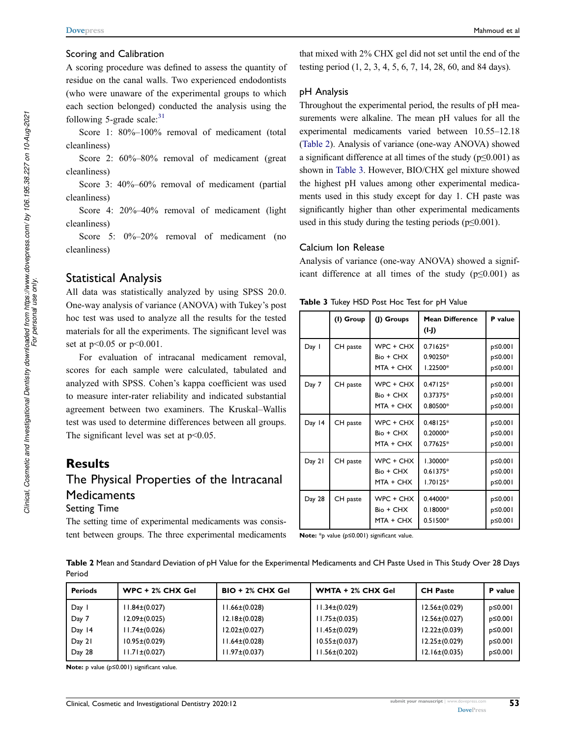#### Scoring and Calibration

A scoring procedure was defined to assess the quantity of residue on the canal walls. Two experienced endodontists (who were unaware of the experimental groups to which each section belonged) conducted the analysis using the following 5-grade scale: $31$ 

Score 1: 80%–100% removal of medicament (total cleanliness)

Score 2: 60%–80% removal of medicament (great cleanliness)

Score 3: 40%–60% removal of medicament (partial cleanliness)

Score 4: 20%–40% removal of medicament (light cleanliness)

Score 5:  $0\% - 20\%$  removal of medicament (no cleanliness)

### Statistical Analysis

All data was statistically analyzed by using SPSS 20.0. One-way analysis of variance (ANOVA) with Tukey's post hoc test was used to analyze all the results for the tested materials for all the experiments. The significant level was set at p<0.05 or p<0.001.

For evaluation of intracanal medicament removal, scores for each sample were calculated, tabulated and analyzed with SPSS. Cohen's kappa coefficient was used to measure inter-rater reliability and indicated substantial agreement between two examiners. The Kruskal–Wallis test was used to determine differences between all groups. The significant level was set at  $p<0.05$ .

### **Results**

### The Physical Properties of the Intracanal **Medicaments** Setting Time

The setting time of experimental medicaments was consistent between groups. The three experimental medicaments that mixed with 2% CHX gel did not set until the end of the testing period (1, 2, 3, 4, 5, 6, 7, 14, 28, 60, and 84 days).

#### pH Analysis

Throughout the experimental period, the results of pH measurements were alkaline. The mean pH values for all the experimental medicaments varied between 10.55–12.18 (Table 2). Analysis of variance (one-way ANOVA) showed a significant difference at all times of the study ( $p \le 0.001$ ) as shown in Table 3. However, BIO/CHX gel mixture showed the highest pH values among other experimental medicaments used in this study except for day 1. CH paste was significantly higher than other experimental medicaments used in this study during the testing periods ( $p \leq 0.001$ ).

#### Calcium Ion Release

Analysis of variance (one-way ANOVA) showed a significant difference at all times of the study ( $p \le 0.001$ ) as

|  | Table 3 Tukey HSD Post Hoc Test for pH Value |  |  |  |
|--|----------------------------------------------|--|--|--|
|--|----------------------------------------------|--|--|--|

|        | (I) Group | (J) Groups                          | <b>Mean Difference</b><br>(I-J)      | P value                       |
|--------|-----------|-------------------------------------|--------------------------------------|-------------------------------|
| Day I  | CH paste  | WPC + CHX<br>Bio + CHX<br>MTA + CHX | $0.71625*$<br>0.90250*<br>1.22500*   | p≤0.001<br>p≤0.001<br>p≤0.001 |
| Day 7  | CH paste  | WPC + CHX<br>Bio + CHX<br>MTA + CHX | $0.47125*$<br>$0.37375*$<br>0.80500* | p≤0.001<br>p≤0.001<br>p≤0.001 |
| Day 14 | CH paste  | WPC + CHX<br>Bio + CHX<br>MTA + CHX | $0.48125*$<br>0.20000*<br>$0.77625*$ | p≤0.001<br>p≤0.001<br>p≤0.001 |
| Day 21 | CH paste  | WPC + CHX<br>Bio + CHX<br>MTA + CHX | 1.30000*<br>$0.61375*$<br>$1.70125*$ | p≤0.001<br>p≤0.001<br>p≤0.001 |
| Day 28 | CH paste  | WPC + CHX<br>Bio + CHX<br>MTA + CHX | 0.44000*<br>$0.18000*$<br>$0.51500*$ | p≤0.001<br>p≤0.001<br>p≤0.001 |

Note: \*p value (p≤0.001) significant value.

Table 2 Mean and Standard Deviation of pH Value for the Experimental Medicaments and CH Paste Used in This Study Over 28 Days Period

| <b>Periods</b> | $WPC + 2% CHX Gel$  | $BIO + 2% CHX Gel$  | WMTA + 2% CHX Gel   | <b>CH Paste</b>     | P value  |
|----------------|---------------------|---------------------|---------------------|---------------------|----------|
| Day 1          | $11.84\pm(0.027)$   | $11.66 \pm (0.028)$ | $11.34\pm(0.029)$   | $12.56\pm(0.029)$   | p≤0.00 l |
| Day 7          | $12.09 \pm (0.025)$ | $12.18 \pm (0.028)$ | $11.75\pm(0.035)$   | $12.56\pm(0.027)$   | p≤0.001  |
| Day 14         | $11.74\pm(0.026)$   | $12.02\pm(0.027)$   | $11.45\pm(0.029)$   | $12.22 \pm (0.039)$ | p≤0.001  |
| Day 21         | $10.95\pm(0.029)$   | $11.64\pm(0.028)$   | $10.55\pm(0.037)$   | $12.25\pm(0.029)$   | p≤0.001  |
| Day 28         | $11.71 \pm (0.027)$ | $11.97\pm(0.037)$   | $11.56 \pm (0.202)$ | $12.16\pm(0.035)$   | p≤0.00 l |

Note: p value (p≤0.001) significant value.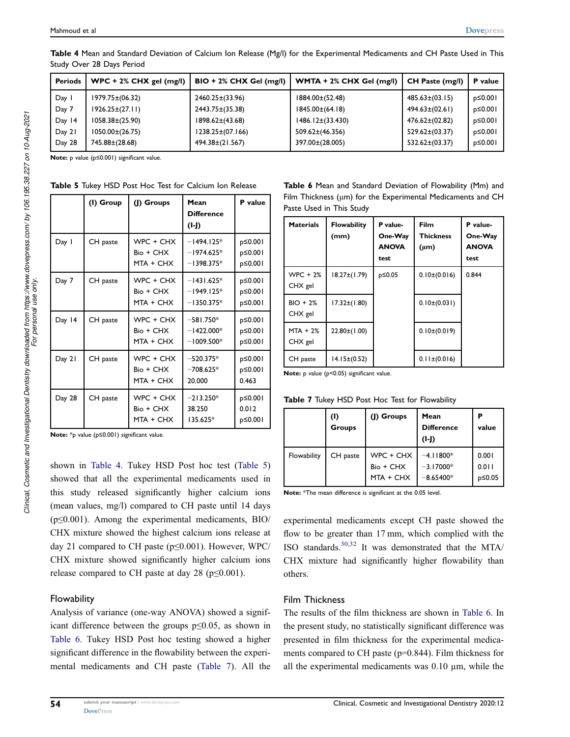| <b>Periods</b> | $WPC + 2% CHX gel (mg/l)$ | $BIO + 2% CHX Gel (mg/l)$ | WMTA + 2% CHX Gel (mg/l) | CH Paste (mg/l)    | P value |
|----------------|---------------------------|---------------------------|--------------------------|--------------------|---------|
| Day 1          | 1979.75±(06.32)           | 2460.25±(33.96)           | 1884.00±(52.48)          | $485.63\pm(03.15)$ | p≤0.001 |
| Day 7          | $1926.25\pm(27.11)$       | 2443.75±(35.38)           | $1845.00\pm(64.18)$      | $494.63\pm(02.61)$ | p≤0.001 |
| Day 14         | $1058.38\pm(25.90)$       | 1898.62±(43.68)           | $1486.12\pm(33.430)$     | 476.62±(02.82)     | p≤0.001 |
| Day 21         | $1050.00\pm(26.75)$       | 1238.25±(07.166)          | 509.62±(46.356)          | $529.62\pm(03.37)$ | p≤0.001 |
| Day 28         | 745.88±(28.68)            | 494.38±(21.567)           | 397.00±(28.005)          | 532.62±(03.37)     | p≤0.001 |

Table 4 Mean and Standard Deviation of Calcium Ion Release (Mg/I) for the Experimental Medicaments and CH Paste Used in This Study Over 28 Days Period

Note: p value (p≤0.001) significant value.

|  |  |  | Table 5 Tukey HSD Post Hoc Test for Calcium Ion Release |  |
|--|--|--|---------------------------------------------------------|--|
|  |  |  |                                                         |  |

|        | (I) Group | (J) Groups                          | Mean<br><b>Difference</b><br>$(I-I)$         | P value                       |
|--------|-----------|-------------------------------------|----------------------------------------------|-------------------------------|
| Day 1  | CH paste  | WPC + CHX<br>Bio + CHX<br>MTA + CHX | $-1494.125*$<br>$-1974.625*$<br>$-1398.375*$ | p≤0.001<br>p≤0.001<br>p≤0.001 |
| Day 7  | CH paste  | WPC + CHX<br>Bio + CHX<br>MTA + CHX | $-1431.625*$<br>$-1949.125*$<br>$-1350.375*$ | p≤0.001<br>p≤0.001<br>p≤0.001 |
| Day 14 | CH paste  | WPC + CHX<br>Bio + CHX<br>MTA + CHX | $-581.750*$<br>$-1422.000*$<br>$-1009.500*$  | p≤0.001<br>p≤0.001<br>p≤0.001 |
| Day 21 | CH paste  | WPC + CHX<br>Bio + CHX<br>MTA + CHX | $-520.375*$<br>$-708.625*$<br>20.000         | p≤0.001<br>p≤0.001<br>0.463   |
| Day 28 | CH paste  | WPC + CHX<br>Bio + CHX<br>MTA + CHX | $-213.250*$<br>38.250<br>135.625*            | p≤0.001<br>0.012<br>p≤0.001   |

Note: \*p value (p≤0.001) significant value.

shown in Table 4. Tukey HSD Post hoc test (Table 5) showed that all the experimental medicaments used in this study released significantly higher calcium ions (mean values, mg/l) compared to CH paste until 14 days (p≤0.001). Among the experimental medicaments, BIO/ CHX mixture showed the highest calcium ions release at day 21 compared to CH paste ( $p \le 0.001$ ). However, WPC/ CHX mixture showed significantly higher calcium ions release compared to CH paste at day 28 ( $p \le 0.001$ ).

#### **Flowability**

Analysis of variance (one-way ANOVA) showed a significant difference between the groups p≤0.05, as shown in Table 6. Tukey HSD Post hoc testing showed a higher significant difference in the flowability between the experimental medicaments and CH paste (Table 7). All the Table 6 Mean and Standard Deviation of Flowability (Mm) and Film Thickness (μm) for the Experimental Medicaments and CH Paste Used in This Study

| <b>Materials</b>      | <b>Flowability</b><br>(mm) | P value-<br>One-Way<br><b>ANOVA</b><br>test | Film<br><b>Thickness</b><br>$(\mu m)$ | P value-<br>One-Way<br><b>ANOVA</b><br>test |
|-----------------------|----------------------------|---------------------------------------------|---------------------------------------|---------------------------------------------|
| $WPC + 2%$<br>CHX gel | $18.27 \pm (1.79)$         | p≤0.05                                      | $0.10\pm(0.016)$                      | 0.844                                       |
| $BIO + 2%$<br>CHX gel | $17.32\pm(1.80)$           |                                             | $0.10\pm(0.031)$                      |                                             |
| $MTA + 2%$<br>CHX gel | $22.80 \pm (1.00)$         |                                             | $0.10\pm(0.019)$                      |                                             |
| CH paste              | $14.15\pm(0.52)$           |                                             | $0.11 \pm (0.016)$                    |                                             |

Note: p value (p<0.05) significant value.

|             | (1)<br><b>Groups</b> | (J) Groups                            | Mean<br><b>Difference</b><br>$(I-I)$      | P<br>value               |
|-------------|----------------------|---------------------------------------|-------------------------------------------|--------------------------|
| Flowability | CH paste             | WPC + CHX<br>Bio + CHX<br>$MTA + CHX$ | $-4.11800*$<br>$-3.17000*$<br>$-8.65400*$ | 0.001<br>0.011<br>p≤0.05 |

Table 7 Tukey HSD Post Hoc Test for Flowability

Note: \*The mean difference is significant at the 0.05 level.

experimental medicaments except CH paste showed the flow to be greater than 17 mm, which complied with the ISO standards.30,32 It was demonstrated that the MTA/ CHX mixture had significantly higher flowability than others.

#### Film Thickness

The results of the film thickness are shown in Table 6. In the present study, no statistically significant difference was presented in film thickness for the experimental medicaments compared to CH paste (p=0.844). Film thickness for all the experimental medicaments was  $0.10 \mu m$ , while the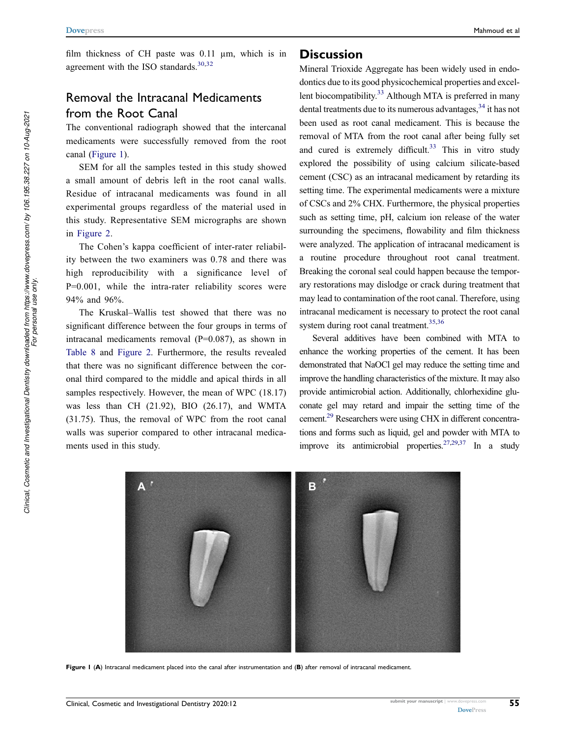film thickness of CH paste was 0.11  $\mu$ m, which is in agreement with the ISO standards. $30,32$ 

### Removal the Intracanal Medicaments from the Root Canal

The conventional radiograph showed that the intercanal medicaments were successfully removed from the root canal (Figure 1).

SEM for all the samples tested in this study showed a small amount of debris left in the root canal walls. Residue of intracanal medicaments was found in all experimental groups regardless of the material used in this study. Representative SEM micrographs are shown in Figure 2.

The Cohen's kappa coefficient of inter-rater reliability between the two examiners was 0.78 and there was high reproducibility with a significance level of P=0.001, while the intra-rater reliability scores were 94% and 96%.

The Kruskal–Wallis test showed that there was no significant difference between the four groups in terms of intracanal medicaments removal (P=0.087), as shown in Table 8 and Figure 2. Furthermore, the results revealed that there was no significant difference between the coronal third compared to the middle and apical thirds in all samples respectively. However, the mean of WPC (18.17) was less than CH (21.92), BIO (26.17), and WMTA (31.75). Thus, the removal of WPC from the root canal walls was superior compared to other intracanal medicaments used in this study.

#### **Discussion**

Mineral Trioxide Aggregate has been widely used in endodontics due to its good physicochemical properties and excellent biocompatibility.<sup>33</sup> Although MTA is preferred in many dental treatments due to its numerous advantages,  $34$  it has not been used as root canal medicament. This is because the removal of MTA from the root canal after being fully set and cured is extremely difficult. $33$  This in vitro study explored the possibility of using calcium silicate-based cement (CSC) as an intracanal medicament by retarding its setting time. The experimental medicaments were a mixture of CSCs and 2% CHX. Furthermore, the physical properties such as setting time, pH, calcium ion release of the water surrounding the specimens, flowability and film thickness were analyzed. The application of intracanal medicament is a routine procedure throughout root canal treatment. Breaking the coronal seal could happen because the temporary restorations may dislodge or crack during treatment that may lead to contamination of the root canal. Therefore, using intracanal medicament is necessary to protect the root canal system during root canal treatment.<sup>35,36</sup>

Several additives have been combined with MTA to enhance the working properties of the cement. It has been demonstrated that NaOCl gel may reduce the setting time and improve the handling characteristics of the mixture. It may also provide antimicrobial action. Additionally, chlorhexidine gluconate gel may retard and impair the setting time of the cement.<sup>29</sup> Researchers were using CHX in different concentrations and forms such as liquid, gel and powder with MTA to improve its antimicrobial properties.<sup>27,29,37</sup> In a study



Figure 1 (A) Intracanal medicament placed into the canal after instrumentation and (B) after removal of intracanal medicament.

55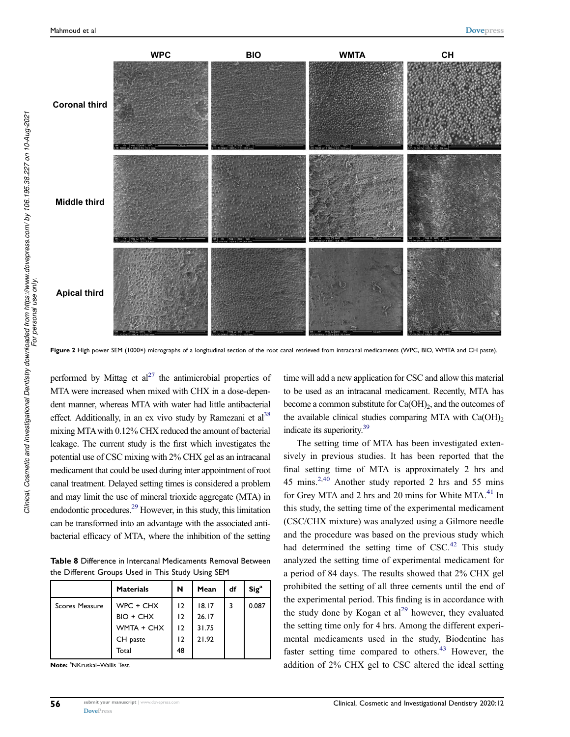

Figure 2 High power SEM (1000×) micrographs of a longitudinal section of the root canal retrieved from intracanal medicaments (WPC, BIO, WMTA and CH paste).

performed by Mittag et  $al^{27}$  the antimicrobial properties of MTA were increased when mixed with CHX in a dose-dependent manner, whereas MTA with water had little antibacterial effect. Additionally, in an ex vivo study by Ramezani et  $al^{38}$ mixing MTAwith 0.12% CHX reduced the amount of bacterial leakage. The current study is the first which investigates the potential use of CSC mixing with 2% CHX gel as an intracanal medicament that could be used during inter appointment of root canal treatment. Delayed setting times is considered a problem and may limit the use of mineral trioxide aggregate (MTA) in endodontic procedures.<sup>29</sup> However, in this study, this limitation can be transformed into an advantage with the associated antibacterial efficacy of MTA, where the inhibition of the setting

Table 8 Difference in Intercanal Medicaments Removal Between the Different Groups Used in This Study Using SEM

|                | <b>Materials</b> | N  | Mean  | df | Sig <sup>a</sup> |
|----------------|------------------|----|-------|----|------------------|
| Scores Measure | WPC + CHX        | 12 | 18.17 |    | 0.087            |
|                | $BIO + CHX$      | 12 | 26.17 |    |                  |
|                | WMTA + CHX       | 12 | 31.75 |    |                  |
|                | CH paste         | 12 | 21.92 |    |                  |
|                | Total            | 48 |       |    |                  |

Note: <sup>a</sup>NKruskal-Wallis Test.

time will add a new application for CSC and allow this material to be used as an intracanal medicament. Recently, MTA has become a common substitute for  $Ca(OH)_2$ , and the outcomes of the available clinical studies comparing MTA with  $Ca(OH)_{2}$ indicate its superiority.<sup>39</sup>

The setting time of MTA has been investigated extensively in previous studies. It has been reported that the final setting time of MTA is approximately 2 hrs and 45 mins.2,40 Another study reported 2 hrs and 55 mins for Grey MTA and 2 hrs and 20 mins for White MTA.<sup>41</sup> In this study, the setting time of the experimental medicament (CSC/CHX mixture) was analyzed using a Gilmore needle and the procedure was based on the previous study which had determined the setting time of  $CSC<sup>42</sup>$  This study analyzed the setting time of experimental medicament for a period of 84 days. The results showed that 2% CHX gel prohibited the setting of all three cements until the end of the experimental period. This finding is in accordance with the study done by Kogan et  $al^{29}$  however, they evaluated the setting time only for 4 hrs. Among the different experimental medicaments used in the study, Biodentine has faster setting time compared to others.<sup>43</sup> However, the addition of 2% CHX gel to CSC altered the ideal setting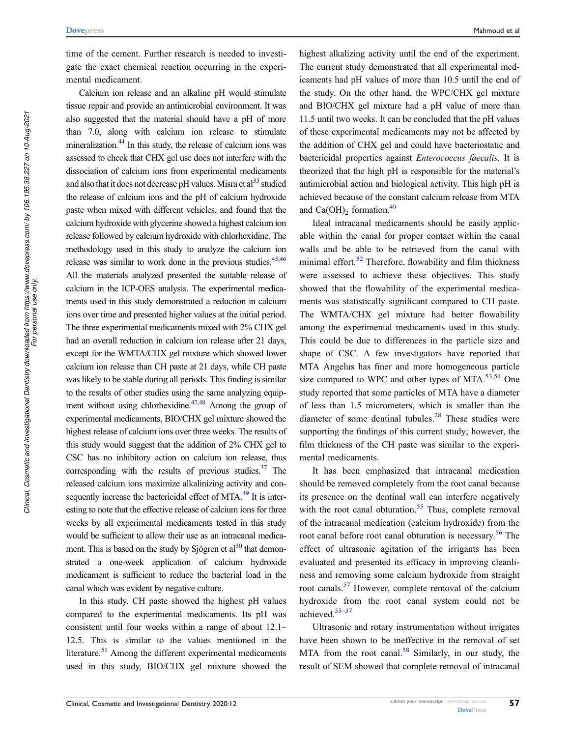time of the cement. Further research is needed to investigate the exact chemical reaction occurring in the experimental medicament.

Calcium ion release and an alkaline pH would stimulate tissue repair and provide an antimicrobial environment. It was also suggested that the material should have a pH of more than 7.0, along with calcium ion release to stimulate mineralization.<sup>44</sup> In this study, the release of calcium ions was assessed to check that CHX gel use does not interfere with the dissociation of calcium ions from experimental medicaments and also that it does not decrease pH values. Misra et  $al<sup>35</sup>$  studied the release of calcium ions and the pH of calcium hydroxide paste when mixed with different vehicles, and found that the calcium hydroxide with glycerine showed a highest calcium ion release followed by calcium hydroxide with chlorhexidine. The methodology used in this study to analyze the calcium ion release was similar to work done in the previous studies.<sup>45,46</sup> All the materials analyzed presented the suitable release of calcium in the ICP-OES analysis. The experimental medicaments used in this study demonstrated a reduction in calcium ions over time and presented higher values at the initial period. The three experimental medicaments mixed with 2% CHX gel had an overall reduction in calcium ion release after 21 days, except for the WMTA/CHX gel mixture which showed lower calcium ion release than CH paste at 21 days, while CH paste was likely to be stable during all periods. This finding is similar to the results of other studies using the same analyzing equipment without using chlorhexidine. $47,48$  Among the group of experimental medicaments, BIO/CHX gel mixture showed the highest release of calcium ions over three weeks. The results of this study would suggest that the addition of 2% CHX gel to CSC has no inhibitory action on calcium ion release, thus corresponding with the results of previous studies. $37$  The released calcium ions maximize alkalinizing activity and consequently increase the bactericidal effect of MTA.<sup>49</sup> It is interesting to note that the effective release of calcium ions for three weeks by all experimental medicaments tested in this study would be sufficient to allow their use as an intracanal medicament. This is based on the study by Sjögren et al<sup>50</sup> that demonstrated a one-week application of calcium hydroxide medicament is sufficient to reduce the bacterial load in the canal which was evident by negative culture.

In this study, CH paste showed the highest pH values compared to the experimental medicaments. Its pH was consistent until four weeks within a range of about 12.1– 12.5. This is similar to the values mentioned in the literature.<sup>51</sup> Among the different experimental medicaments used in this study, BIO/CHX gel mixture showed the highest alkalizing activity until the end of the experiment. The current study demonstrated that all experimental medicaments had pH values of more than 10.5 until the end of the study. On the other hand, the WPC/CHX gel mixture and BIO/CHX gel mixture had a pH value of more than 11.5 until two weeks. It can be concluded that the pH values of these experimental medicaments may not be affected by the addition of CHX gel and could have bacteriostatic and bactericidal properties against *Enterococcus faecalis*. It is theorized that the high pH is responsible for the material's antimicrobial action and biological activity. This high pH is achieved because of the constant calcium release from MTA and  $Ca(OH)_2$  formation.<sup>49</sup>

Ideal intracanal medicaments should be easily applicable within the canal for proper contact within the canal walls and be able to be retrieved from the canal with minimal effort.<sup>52</sup> Therefore, flowability and film thickness were assessed to achieve these objectives. This study showed that the flowability of the experimental medicaments was statistically significant compared to CH paste. The WMTA/CHX gel mixture had better flowability among the experimental medicaments used in this study. This could be due to differences in the particle size and shape of CSC. A few investigators have reported that MTA Angelus has finer and more homogeneous particle size compared to WPC and other types of MTA. $53,54$  One study reported that some particles of MTA have a diameter of less than 1.5 micrometers, which is smaller than the diameter of some dentinal tubules.<sup>28</sup> These studies were supporting the findings of this current study; however, the film thickness of the CH paste was similar to the experimental medicaments.

It has been emphasized that intracanal medication should be removed completely from the root canal because its presence on the dentinal wall can interfere negatively with the root canal obturation.<sup>55</sup> Thus, complete removal of the intracanal medication (calcium hydroxide) from the root canal before root canal obturation is necessary.<sup>56</sup> The effect of ultrasonic agitation of the irrigants has been evaluated and presented its efficacy in improving cleanliness and removing some calcium hydroxide from straight root canals.<sup>57</sup> However, complete removal of the calcium hydroxide from the root canal system could not be achieved.55–<sup>57</sup>

Ultrasonic and rotary instrumentation without irrigates have been shown to be ineffective in the removal of set MTA from the root canal.<sup>58</sup> Similarly, in our study, the result of SEM showed that complete removal of intracanal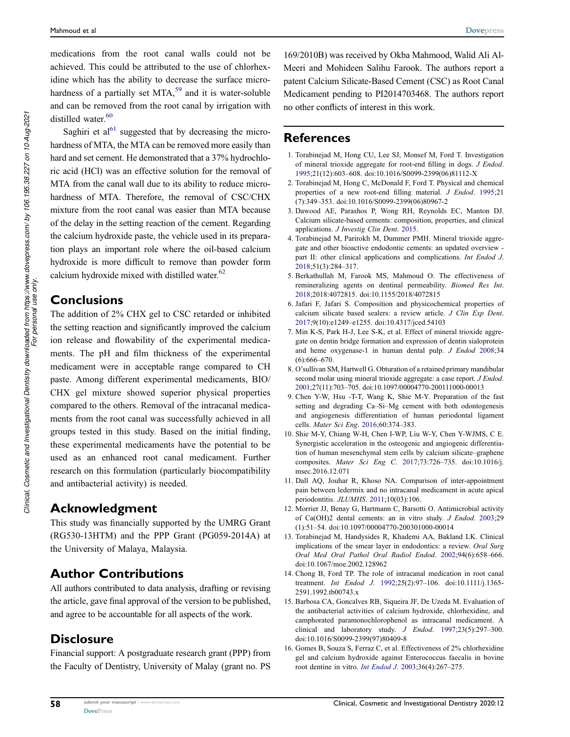medications from the root canal walls could not be achieved. This could be attributed to the use of chlorhexidine which has the ability to decrease the surface microhardness of a partially set MTA,<sup>59</sup> and it is water-soluble and can be removed from the root canal by irrigation with distilled water.<sup>60</sup>

Saghiri et  $al<sup>61</sup>$  suggested that by decreasing the microhardness of MTA, the MTA can be removed more easily than hard and set cement. He demonstrated that a 37% hydrochloric acid (HCl) was an effective solution for the removal of MTA from the canal wall due to its ability to reduce microhardness of MTA. Therefore, the removal of CSC/CHX mixture from the root canal was easier than MTA because of the delay in the setting reaction of the cement. Regarding the calcium hydroxide paste, the vehicle used in its preparation plays an important role where the oil-based calcium hydroxide is more difficult to remove than powder form calcium hydroxide mixed with distilled water.<sup>62</sup>

### Conclusions

The addition of 2% CHX gel to CSC retarded or inhibited the setting reaction and significantly improved the calcium ion release and flowability of the experimental medicaments. The pH and film thickness of the experimental medicament were in acceptable range compared to CH paste. Among different experimental medicaments, BIO/ CHX gel mixture showed superior physical properties compared to the others. Removal of the intracanal medicaments from the root canal was successfully achieved in all groups tested in this study. Based on the initial finding, these experimental medicaments have the potential to be used as an enhanced root canal medicament. Further research on this formulation (particularly biocompatibility and antibacterial activity) is needed.

### Acknowledgment

This study was financially supported by the UMRG Grant (RG530-13HTM) and the PPP Grant (PG059-2014A) at the University of Malaya, Malaysia.

### Author Contributions

All authors contributed to data analysis, drafting or revising the article, gave final approval of the version to be published, and agree to be accountable for all aspects of the work.

### **Disclosure**

Financial support: A postgraduate research grant (PPP) from the Faculty of Dentistry, University of Malay (grant no. PS

169/2010B) was received by Okba Mahmood, Walid Ali Al-Meeri and Mohideen Salihu Farook. The authors report a patent Calcium Silicate-Based Cement (CSC) as Root Canal Medicament pending to PI2014703468. The authors report no other conflicts of interest in this work.

### References

- 1. Torabinejad M, Hong CU, Lee SJ, Monsef M, Ford T. Investigation of mineral trioxide aggregate for root-end filling in dogs. *J Endod*. 1995;21(12):603–608. doi:10.1016/S0099-2399(06)81112-X
- 2. Torabinejad M, Hong C, McDonald F, Ford T. Physical and chemical properties of a new root-end filling material. *J Endod*. 1995;21 (7):349–353. doi:10.1016/S0099-2399(06)80967-2
- 3. Dawood AE, Parashos P, Wong RH, Reynolds EC, Manton DJ. Calcium silicate-based cements: composition, properties, and clinical applications. *J Investig Clin Dent*. 2015.
- 4. Torabinejad M, Parirokh M, Dummer PMH. Mineral trioxide aggregate and other bioactive endodontic cements: an updated overview part II: other clinical applications and complications. *Int Endod J*. 2018;51(3):284–317.
- 5. Berkathullah M, Farook MS, Mahmoud O. The effectiveness of remineralizing agents on dentinal permeability. *Biomed Res Int*. 2018;2018:4072815. doi:10.1155/2018/4072815
- 6. Jafari F, Jafari S. Composition and physicochemical properties of calcium silicate based sealers: a review article. *J Clin Exp Dent*. 2017;9(10):e1249–e1255. doi:10.4317/jced.54103
- 7. Min K-S, Park H-J, Lee S-K, et al. Effect of mineral trioxide aggregate on dentin bridge formation and expression of dentin sialoprotein and heme oxygenase-1 in human dental pulp. *J Endod* 2008;34  $(6):666-670.$
- 8. O'sullivan SM, Hartwell G. Obturation of a retained primary mandibular second molar using mineral trioxide aggregate: a case report. *J Endod*. 2001;27(11):703–705. doi:10.1097/00004770-200111000-00013
- 9. Chen Y-W, Hsu -T-T, Wang K, Shie M-Y. Preparation of the fast setting and degrading Ca–Si–Mg cement with both odontogenesis and angiogenesis differentiation of human periodontal ligament cells. *Mater Sci Eng*. 2016;60:374–383.
- 10. Shie M-Y, Chiang W-H, Chen I-WP, Liu W-Y, Chen Y-WJMS, C E. Synergistic acceleration in the osteogenic and angiogenic differentiation of human mesenchymal stem cells by calcium silicate–graphene composites. *Mater Sci Eng C*. 2017;73:726–735. doi:10.1016/j. msec.2016.12.071
- 11. Dall AQ, Jouhar R, Khoso NA. Comparison of inter-appointment pain between ledermix and no intracanal medicament in acute apical periodontitis. *JLUMHS*. 2011;10(03):106.
- 12. Morrier JJ, Benay G, Hartmann C, Barsotti O. Antimicrobial activity of Ca(OH)2 dental cements: an in vitro study. *J Endod*. 2003;29 (1):51–54. doi:10.1097/00004770-200301000-00014
- 13. Torabinejad M, Handysides R, Khademi AA, Bakland LK. Clinical implications of the smear layer in endodontics: a review. *Oral Surg Oral Med Oral Pathol Oral Radiol Endod*. 2002;94(6):658–666. doi:10.1067/moe.2002.128962
- 14. Chong B, Ford TP. The role of intracanal medication in root canal treatment. *Int Endod J*. 1992;25(2):97–106. doi:10.1111/j.1365- 2591.1992.tb00743.x
- 15. Barbosa CA, Goncalves RB, Siqueira JF, De Uzeda M. Evaluation of the antibacterial activities of calcium hydroxide, chlorhexidine, and camphorated paramonochlorophenol as intracanal medicament. A clinical and laboratory study. *J Endod*. 1997;23(5):297–300. doi:10.1016/S0099-2399(97)80409-8
- 16. Gomes B, Souza S, Ferraz C, et al. Effectiveness of 2% chlorhexidine gel and calcium hydroxide against Enterococcus faecalis in bovine root dentine in vitro. *Int Endod J*. 2003;36(4):267–275.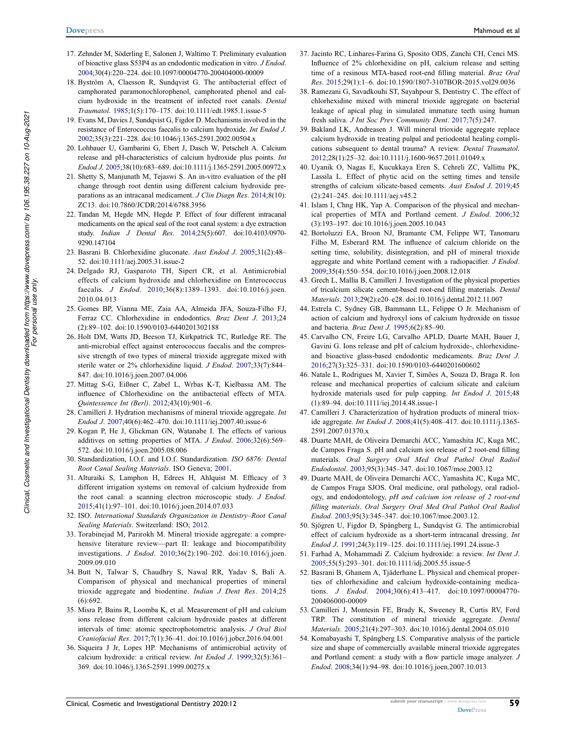- 17. Zehnder M, Söderling E, Salonen J, Waltimo T. Preliminary evaluation of bioactive glass S53P4 as an endodontic medication in vitro. *J Endod*. 2004;30(4):220–224. doi:10.1097/00004770-200404000-00009
- 18. Byström A, Claesson R, Sundqvist G. The antibacterial effect of camphorated paramonochlorophenol, camphorated phenol and calcium hydroxide in the treatment of infected root canals. *Dental Traumatol*. 1985;1(5):170–175. doi:10.1111/edt.1985.1.issue-5
- 19. Evans M, Davies J, Sundqvist G, Figdor D. Mechanisms involved in the resistance of Enterococcus faecalis to calcium hydroxide. *Int Endod J*. 2002;35(3):221–228. doi:10.1046/j.1365-2591.2002.00504.x
- 20. Lohbauer U, Gambarini G, Ebert J, Dasch W, Petschelt A. Calcium release and pH-characteristics of calcium hydroxide plus points. *Int Endod J*. 2005;38(10):683–689. doi:10.1111/j.1365-2591.2005.00972.x
- 21. Shetty S, Manjunath M, Tejaswi S. An in-vitro evaluation of the pH change through root dentin using different calcium hydroxide preparations as an intracanal medicament. *J Clin Diagn Res*. 2014;8(10): ZC13. doi:10.7860/JCDR/2014/6788.3956
- 22. Tandan M, Hegde MN, Hegde P. Effect of four different intracanal medicaments on the apical seal of the root canal system: a dye extraction study. *Indian J Dental Res*. 2014;25(5):607. doi:10.4103/0970- 9290.147104
- 23. Basrani B. Chlorhexidine gluconate. *Aust Endod J*. 2005;31(2):48– 52. doi:10.1111/aej.2005.31.issue-2
- 24. Delgado RJ, Gasparoto TH, Sipert CR, et al. Antimicrobial effects of calcium hydroxide and chlorhexidine on Enterococcus faecalis. *J Endod*. 2010;36(8):1389–1393. doi:10.1016/j.joen. 2010.04.013
- 25. Gomes BP, Vianna ME, Zaia AA, Almeida JFA, Souza-Filho FJ, Ferraz CC. Chlorhexidine in endodontics. *Braz Dent J*. 2013;24 (2):89–102. doi:10.1590/0103-6440201302188
- 26. Holt DM, Watts JD, Beeson TJ, Kirkpatrick TC, Rutledge RE. The anti-microbial effect against enterococcus faecalis and the compressive strength of two types of mineral trioxide aggregate mixed with sterile water or 2% chlorhexidine liquid. *J Endod*. 2007;33(7):844– 847. doi:10.1016/j.joen.2007.04.006
- 27. Mittag S-G, Eißner C, Zabel L, Wrbas K-T, Kielbassa AM. The influence of Chlorhexidine on the antibacterial effects of MTA. *Quintessence Int (Berl)*. 2012;43(10):901–6.
- 28. Camilleri J. Hydration mechanisms of mineral trioxide aggregate. *Int Endod J*. 2007;40(6):462–470. doi:10.1111/iej.2007.40.issue-6
- 29. Kogan P, He J, Glickman GN, Watanabe I. The effects of various additives on setting properties of MTA. *J Endod*. 2006;32(6):569– 572. doi:10.1016/j.joen.2005.08.006
- 30. Standardization, I.O.f. and I.O.f. Standardization. *ISO 6876: Dental Root Canal Sealing Materials*. ISO Geneva; 2001.
- 31. Alturaiki S, Lamphon H, Edrees H, Ahlquist M. Efficacy of 3 different irrigation systems on removal of calcium hydroxide from the root canal: a scanning electron microscopic study. *J Endod*. 2015;41(1):97–101. doi:10.1016/j.joen.2014.07.033
- 32. ISO. *International Standards Organization in Dentistry*–*Root Canal Sealing Materials*. Switzerland: ISO; 2012.
- 33. Torabinejad M, Parirokh M. Mineral trioxide aggregate: a comprehensive literature review—part II: leakage and biocompatibility investigations. *J Endod*. 2010;36(2):190–202. doi:10.1016/j.joen. 2009.09.010
- 34. Butt N, Talwar S, Chaudhry S, Nawal RR, Yadav S, Bali A. Comparison of physical and mechanical properties of mineral trioxide aggregate and biodentine. *Indian J Dent Res*. 2014;25 (6):692.
- 35. Misra P, Bains R, Loomba K, et al. Measurement of pH and calcium ions release from different calcium hydroxide pastes at different intervals of time: atomic spectrophotometric analysis. *J Oral Biol Craniofacial Res*. 2017;7(1):36–41. doi:10.1016/j.jobcr.2016.04.001
- 36. Siqueira J Jr, Lopes HP. Mechanisms of antimicrobial activity of calcium hydroxide: a critical review. *Int Endod J*. 1999;32(5):361– 369. doi:10.1046/j.1365-2591.1999.00275.x
- 37. Jacinto RC, Linhares-Farina G, Sposito ODS, Zanchi CH, Cenci MS. Influence of 2% chlorhexidine on pH, calcium release and setting time of a resinous MTA-based root-end filling material. *Braz Oral Res*. 2015;29(1):1–6. doi:10.1590/1807-3107BOR-2015.vol29.0036
- 38. Ramezani G, Savadkouhi ST, Sayahpour S, Dentistry C. The effect of chlorhexidine mixed with mineral trioxide aggregate on bacterial leakage of apical plug in simulated immature teeth using human fresh saliva. *J Int Soc Prev Community Dent*. 2017;7(5):247.
- 39. Bakland LK, Andreasen J. Will mineral trioxide aggregate replace calcium hydroxide in treating pulpal and periodontal healing complications subsequent to dental trauma? A review. *Dental Traumatol*. 2012;28(1):25–32. doi:10.1111/j.1600-9657.2011.01049.x
- 40. Uyanik O, Nagas E, Kucukkaya Eren S, Cehreli ZC, Vallittu PK, Lassila L. Effect of phytic acid on the setting times and tensile strengths of calcium silicate-based cements. *Aust Endod J*. 2019;45 (2):241–245. doi:10.1111/aej.v45.2
- 41. Islam I, Chng HK, Yap A. Comparison of the physical and mechanical properties of MTA and Portland cement. *J Endod*. 2006;32 (3):193–197. doi:10.1016/j.joen.2005.10.043
- 42. Bortoluzzi EA, Broon NJ, Bramante CM, Felippe WT, Tanomaru Filho M, Esberard RM. The influence of calcium chloride on the setting time, solubility, disintegration, and pH of mineral trioxide aggregate and white Portland cement with a radiopacifier. *J Endod*. 2009;35(4):550–554. doi:10.1016/j.joen.2008.12.018
- 43. Grech L, Mallia B, Camilleri J. Investigation of the physical properties of tricalcium silicate cement-based root-end filling materials. *Dental Materials*. 2013;29(2):e20–e28. doi:10.1016/j.dental.2012.11.007
- 44. Estrela C, Sydney GB, Bammann LL, Felippe O Jr. Mechanism of action of calcium and hydroxyl ions of calcium hydroxide on tissue and bacteria. *Braz Dent J*. 1995;6(2):85–90.
- 45. Carvalho CN, Freire LG, Carvalho APLD, Duarte MAH, Bauer J, Gavini G. Ions release and pH of calcium hydroxide-, chlorhexidineand bioactive glass-based endodontic medicaments. *Braz Dent J*. 2016;27(3):325–331. doi:10.1590/0103-6440201600602
- 46. Natale L, Rodrigues M, Xavier T, Simões A, Souza D, Braga R. Ion release and mechanical properties of calcium silicate and calcium hydroxide materials used for pulp capping. *Int Endod J*. 2015;48 (1):89–94. doi:10.1111/iej.2014.48.issue-1
- 47. Camilleri J. Characterization of hydration products of mineral trioxide aggregate. *Int Endod J*. 2008;41(5):408–417. doi:10.1111/j.1365- 2591.2007.01370.x
- 48. Duarte MAH, de Oliveira Demarchi ACC, Yamashita JC, Kuga MC, de Campos Fraga S. pH and calcium ion release of 2 root-end filling materials. *Oral Surgery Oral Med Oral Pathol Oral Radiol Endodontol*. 2003;95(3):345–347. doi:10.1067/moe.2003.12
- 49. Duarte MAH, de Oliveira Demarchi ACC, Yamashita JC, Kuga MC, de Campos Fraga SJOS. Oral medicine, oral pathology, oral radiology, and endodontology, *pH and calcium ion release of 2 root-end* fi*lling materials*. *Oral Surgery Oral Med Oral Pathol Oral Radiol Endod*. 2003;95(3):345–347. doi:10.1067/moe.2003.12.
- 50. Sjögren U, Figdor D, Spångberg L, Sundqvist G. The antimicrobial effect of calcium hydroxide as a short-term intracanal dressing. *Int Endod J*. 1991;24(3):119–125. doi:10.1111/iej.1991.24.issue-3
- 51. Farhad A, Mohammadi Z. Calcium hydroxide: a review. *Int Dent J*. 2005;55(5):293–301. doi:10.1111/idj.2005.55.issue-5
- 52. Basrani B, Ghanem A, Tjäderhane L. Physical and chemical properties of chlorhexidine and calcium hydroxide-containing medications. *J Endod*. 2004;30(6):413–417. doi:10.1097/00004770- 200406000-00009
- 53. Camilleri J, Montesin FE, Brady K, Sweeney R, Curtis RV, Ford TRP. The constitution of mineral trioxide aggregate. *Dental Materials*. 2005;21(4):297–303. doi:10.1016/j.dental.2004.05.010
- 54. Komabayashi T, Spångberg LS. Comparative analysis of the particle size and shape of commercially available mineral trioxide aggregates and Portland cement: a study with a flow particle image analyzer. *J Endod*. 2008;34(1):94–98. doi:10.1016/j.joen.2007.10.013

59